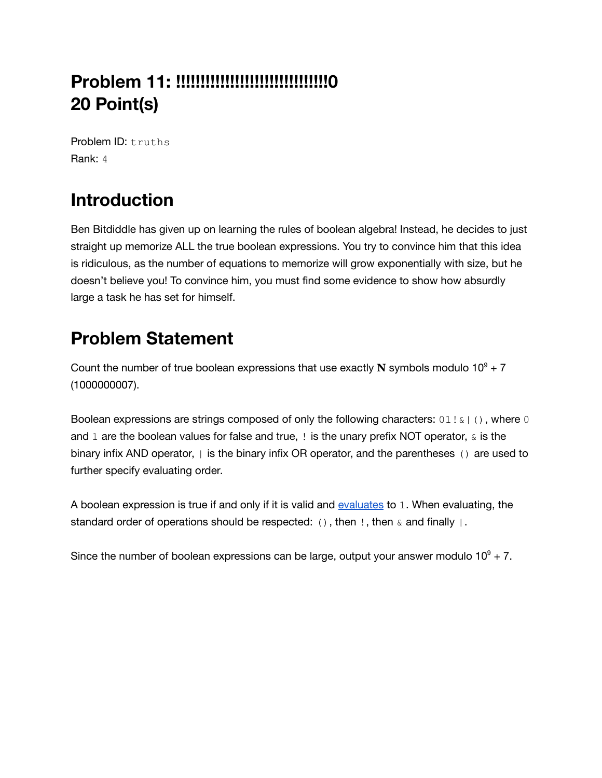# **Problem 11: !!!!!!!!!!!!!!!!!!!!!!!!!!!!!!!0 20 Point(s)**

Problem ID: truths Rank: 4

# **Introduction**

Ben Bitdiddle has given up on learning the rules of boolean algebra! Instead, he decides to just straight up memorize ALL the true boolean expressions. You try to convince him that this idea is ridiculous, as the number of equations to memorize will grow exponentially with size, but he doesn't believe you! To convince him, you must find some evidence to show how absurdly large a task he has set for himself.

## **Problem Statement**

Count the number of true boolean expressions that use exactly  $N$  symbols modulo  $10^9 + 7$ (1000000007).

Boolean expressions are strings composed of only the following characters:  $01! \&$  (), where 0 and 1 are the boolean values for false and true,  $\pm$  is the unary prefix NOT operator,  $\alpha$  is the binary infix AND operator,  $|$  is the binary infix OR operator, and the parentheses () are used to further specify evaluating order.

A boolean expression is true if and only if it is valid and [evaluates](https://en.wikipedia.org/wiki/Boolean_algebra#Basic_operations) to 1. When evaluating, the standard order of operations should be respected: (), then  $\ell$ , then  $\&$  and finally  $|\cdot|$ .

Since the number of boolean expressions can be large, output your answer modulo  $10^9$  + 7.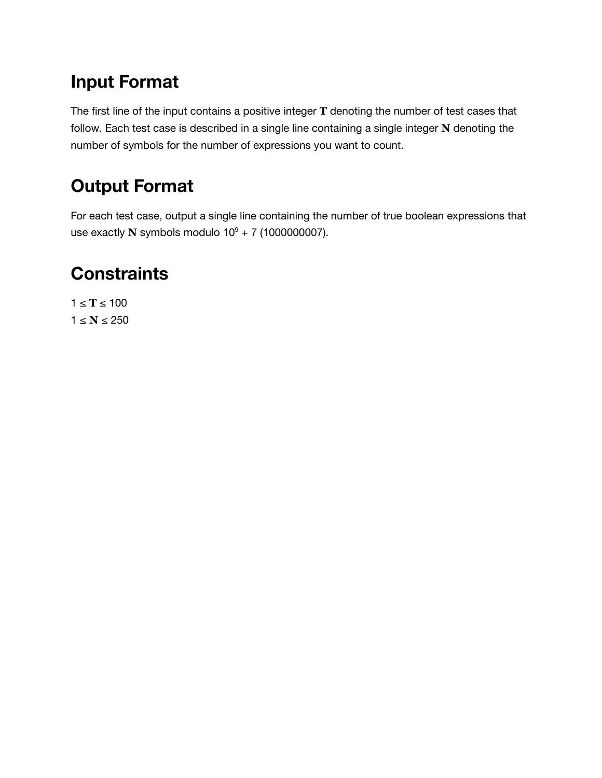### **Input Format**

The first line of the input contains a positive integer **T** denoting the number of test cases that follow. Each test case is described in a single line containing a single integer **N** denoting the number of symbols for the number of expressions you want to count.

## **Output Format**

For each test case, output a single line containing the number of true boolean expressions that use exactly **N** symbols modulo  $10^9 + 7$  (1000000007).

# **Constraints**

1 ≤ **T** ≤ 100  $1 ≤ N ≤ 250$